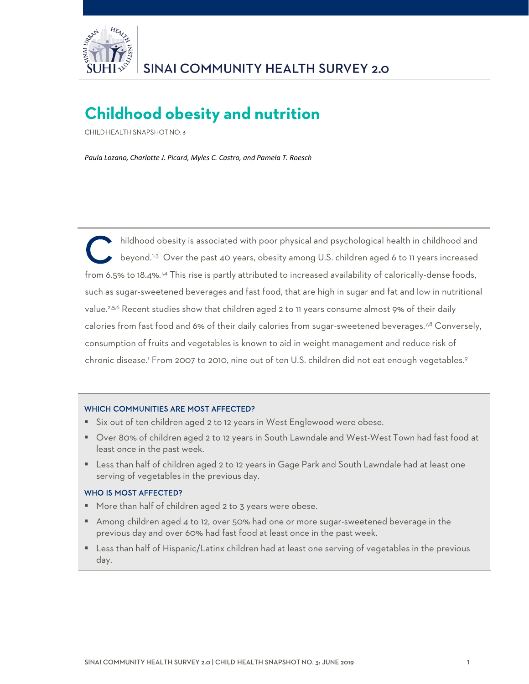

# **Childhood obesity and nutrition**

CHILD HEALTH SNAPSHOT NO. 3

*Paula Lozano, Charlotte J. Picard, Myles C. Castro, and Pamela T. Roesch*

hildhood obesity is associated with poor physical and psychological health in childhood and beyond.<sup>1-3</sup> Over the past 40 years, obesity among U.S. children aged 6 to 11 years increased from 6.5% to 18.4%.<sup>1,4</sup> This rise is partly attributed to increased availability of calorically-dense foods, such as sugar-sweetened beverages and fast food, that are high in sugar and fat and low in nutritional value.<sup>2,5,6</sup> Recent studies show that children aged 2 to 11 years consume almost 9% of their daily calories from fast food and 6% of their daily calories from sugar-sweetened beverages.<sup>7,8</sup> Conversely, consumption of fruits and vegetables is known to aid in weight management and reduce risk of chronic disease.<sup>1</sup> From 2007 to 2010, nine out of ten U.S. children did not eat enough vegetables.<sup>9</sup> C<sup>\*</sup>

#### WHICH COMMUNITIES ARE MOST AFFECTED?

- Six out of ten children aged 2 to 12 years in West Englewood were obese.
- Over 80% of children aged 2 to 12 years in South Lawndale and West-West Town had fast food at least once in the past week.
- Less than half of children aged 2 to 12 years in Gage Park and South Lawndale had at least one serving of vegetables in the previous day.

#### WHO IS MOST AFFECTED?

- More than half of children aged 2 to 3 years were obese.
- Among children aged 4 to 12, over 50% had one or more sugar-sweetened beverage in the previous day and over 60% had fast food at least once in the past week.
- Less than half of Hispanic/Latinx children had at least one serving of vegetables in the previous day.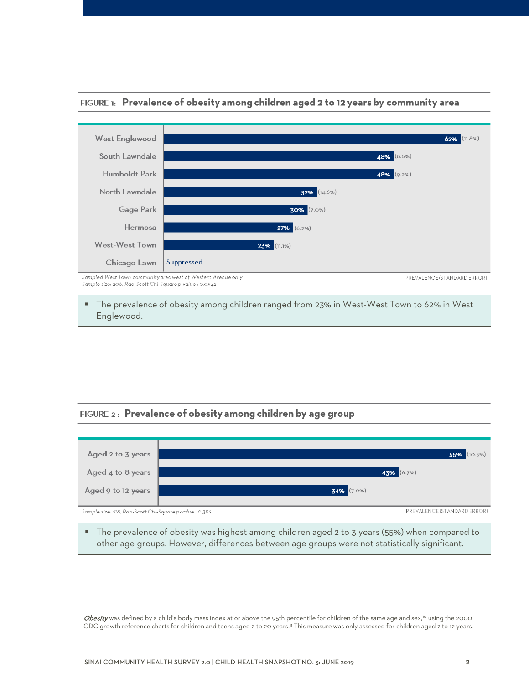

#### FIGURE 1: Prevalence of obesity among children aged 2 to 12 years by community area

Sample size: 206, Rao-Scott Chi-Square p-value : 0.0542

 The prevalence of obesity among children ranged from 23% in West-West Town to 62% in West Englewood.

# FIGURE 2: Prevalence of obesity among children by age group



 The prevalence of obesity was highest among children aged 2 to 3 years (55%) when compared to other age groups. However, differences between age groups were not statistically significant.

Obesity was defined by a child's body mass index at or above the 95th percentile for children of the same age and sex,<sup>10</sup> using the 2000 CDC growth reference charts for children and teens aged 2 to 20 years.<sup>11</sup> This measure was only assessed for children aged 2 to 12 years.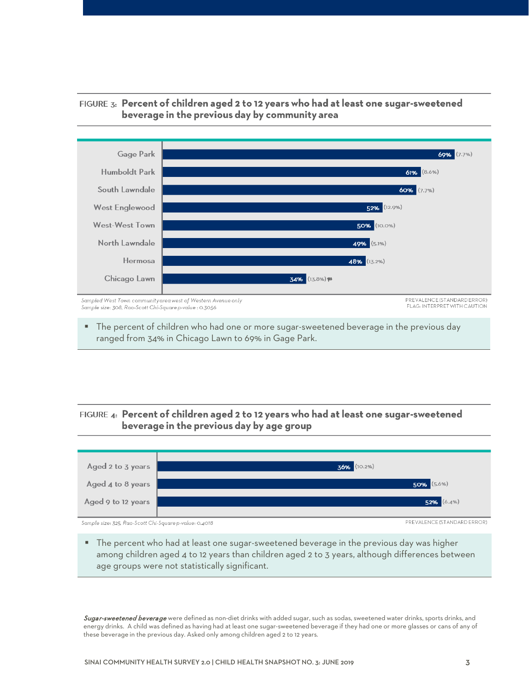

#### FIGURE 3: Percent of children aged 2 to 12 years who had at least one sugar-sweetened beverage in the previous day by community area

 The percent of children who had one or more sugar-sweetened beverage in the previous day ranged from 34% in Chicago Lawn to 69% in Gage Park.

## FIGURE 4: Percent of children aged 2 to 12 years who had at least one sugar-sweetened beverage in the previous day by age group



**The percent who had at least one sugar-sweetened beverage in the previous day was higher** among children aged 4 to 12 years than children aged 2 to 3 years, although differences between age groups were not statistically significant.

Sugar-sweetened beverage were defined as non-diet drinks with added sugar, such as sodas, sweetened water drinks, sports drinks, and energy drinks. A child was defined as having had at least one sugar-sweetened beverage if they had one or more glasses or cans of any of these beverage in the previous day. Asked only among children aged 2 to 12 years.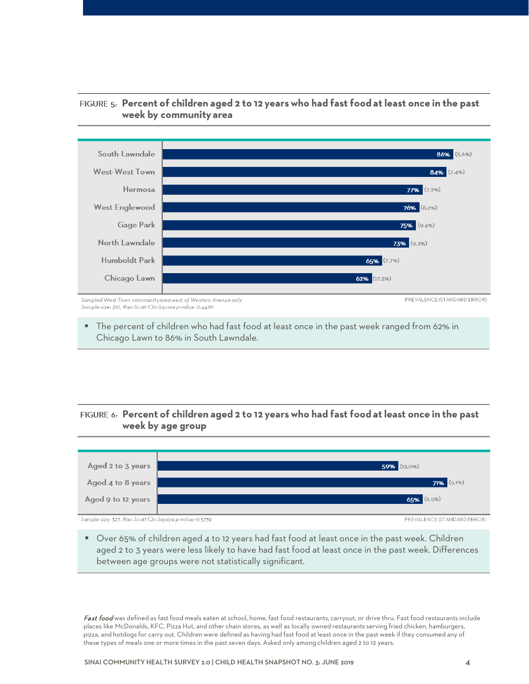

# FIGURE 5: Percent of children aged 2 to 12 years who had fast food at least once in the past week by community area

Sample size: 310, Rao-Scott Chi-Square p-value: 0.4470

The percent of children who had fast food at least once in the past week ranged from 62% in Chicago Lawn to 86% in South Lawndale.

# FIGURE 6: Percent of children aged 2 to 12 years who had fast food at least once in the past week by age group



 Over 65% of children aged 4 to 12 years had fast food at least once in the past week. Children aged 2 to 3 years were less likely to have had fast food at least once in the past week. Differences between age groups were not statistically significant.

Fast food was defined as fast food meals eaten at school, home, fast food restaurants, carryout, or drive thru. Fast food restaurants include places like McDonalds, KFC, Pizza Hut, and other chain stores, as well as locally owned restaurants serving fried chicken, hamburgers, pizza, and hotdogs for carry out. Children were defined as having had fast food at least once in the past week if they consumed any of these types of meals one or more times in the past seven days. Asked only among children aged 2 to 12 years.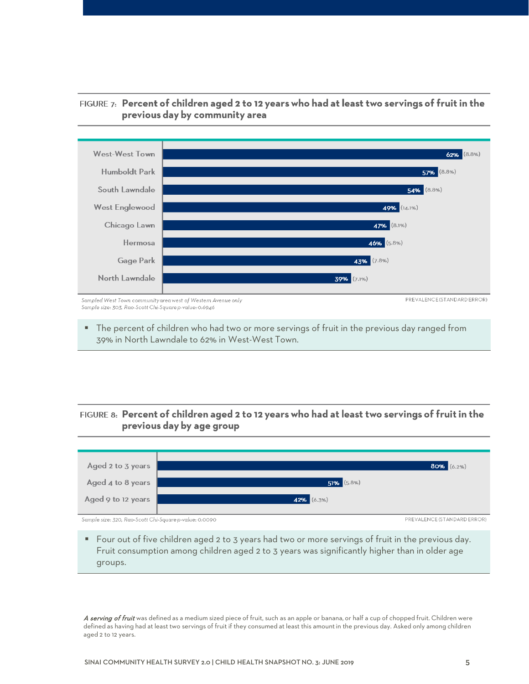

## FIGURE 7: Percent of children aged 2 to 12 years who had at least two servings of fruit in the previous day by community area

**The percent of children who had two or more servings of fruit in the previous day ranged from** 39% in North Lawndale to 62% in West-West Town.

## FIGURE 8: Percent of children aged 2 to 12 years who had at least two servings of fruit in the previous day by age group



 Four out of five children aged 2 to 3 years had two or more servings of fruit in the previous day. Fruit consumption among children aged 2 to 3 years was significantly higher than in older age groups.

A serving of fruit was defined as a medium sized piece of fruit, such as an apple or banana, or half a cup of chopped fruit. Children were defined as having had at least two servings of fruit if they consumed at least this amount in the previous day. Asked only among children aged 2 to 12 years.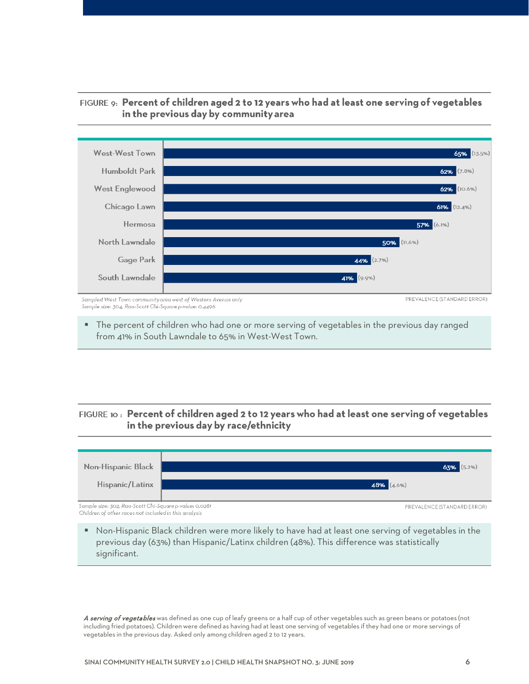

## FIGURE 9: Percent of children aged 2 to 12 years who had at least one serving of vegetables in the previous day by community area

Sample size: 304, Rao-Scott Chi-Square p-value: 0.4496

 The percent of children who had one or more serving of vegetables in the previous day ranged from 41% in South Lawndale to 65% in West-West Town.

# FIGURE 10: Percent of children aged 2 to 12 years who had at least one serving of vegetables in the previous day by race/ethnicity



 Non-Hispanic Black children were more likely to have had at least one serving of vegetables in the previous day (63%) than Hispanic/Latinx children (48%). This difference was statistically significant.

A serving of vegetables was defined as one cup of leafy greens or a half cup of other vegetables such as green beans or potatoes (not including fried potatoes). Children were defined as having had at least one serving of vegetables if they had one or more servings of vegetables in the previous day. Asked only among children aged 2 to 12 years.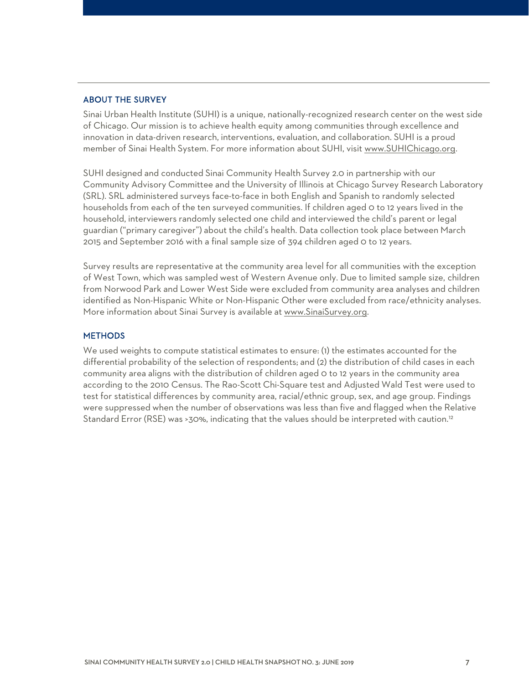#### ABOUT THE SURVEY

Sinai Urban Health Institute (SUHI) is a unique, nationally-recognized research center on the west side of Chicago. Our mission is to achieve health equity among communities through excellence and innovation in data-driven research, interventions, evaluation, and collaboration. SUHI is a proud member of Sinai Health System. For more information about SUHI, visit [www.SUHIChicago.org.](http://www.suhichicago.org/)

SUHI designed and conducted Sinai Community Health Survey 2.0 in partnership with our Community Advisory Committee and the University of Illinois at Chicago Survey Research Laboratory (SRL). SRL administered surveys face-to-face in both English and Spanish to randomly selected households from each of the ten surveyed communities. If children aged 0 to 12 years lived in the household, interviewers randomly selected one child and interviewed the child's parent or legal guardian ("primary caregiver") about the child's health. Data collection took place between March 2015 and September 2016 with a final sample size of 394 children aged 0 to 12 years.

Survey results are representative at the community area level for all communities with the exception of West Town, which was sampled west of Western Avenue only. Due to limited sample size, children from Norwood Park [and Lower West Side](http://www.sinaisurvey.org/) were excluded from community area analyses and children identified as Non-Hispanic White or Non-Hispanic Other were excluded from race/ethnicity analyses. More information about Sinai Survey is available at www.SinaiSurvey.org.

#### **METHODS**

We used weights to compute statistical estimates to ensure: (1) the estimates accounted for the differential probability of the selection of respondents; and (2) the distribution of child cases in each community area aligns with the distribution of children aged 0 to 12 years in the community area according to the 2010 Census. The Rao-Scott Chi-Square test and Adjusted Wald Test were used to test for statistical differences by community area, racial/ethnic group, sex, and age group. Findings were suppressed when the number of observations was less than five and flagged when the Relative Standard Error (RSE) was >30%, indicating that the values should be interpreted with caution.<sup>12</sup>